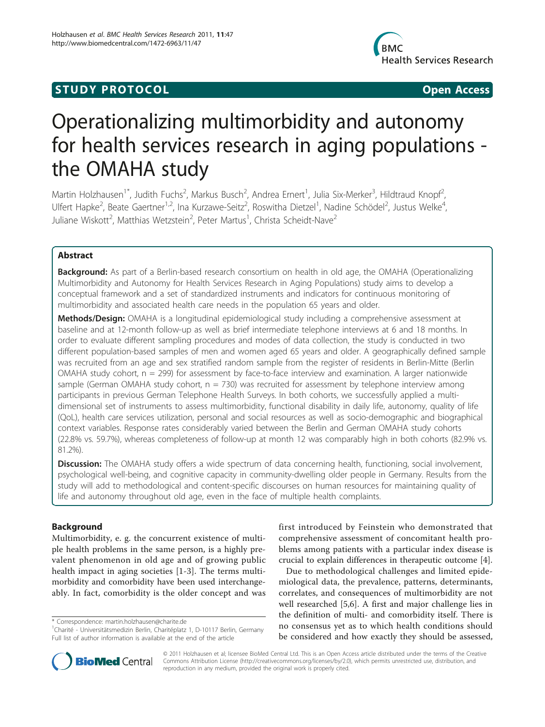# **STUDY PROTOCOL** And the state of the state of the state of the state of the state of the state of the state of the state of the state of the state of the state of the state of the state of the state of the state of the st



# Operationalizing multimorbidity and autonomy for health services research in aging populations the OMAHA study

Martin Holzhausen<sup>1\*</sup>, Judith Fuchs<sup>2</sup>, Markus Busch<sup>2</sup>, Andrea Ernert<sup>1</sup>, Julia Six-Merker<sup>3</sup>, Hildtraud Knopf<sup>2</sup> , Ulfert Hapke<sup>2</sup>, Beate Gaertner<sup>1,2</sup>, Ina Kurzawe-Seitz<sup>2</sup>, Roswitha Dietzel<sup>1</sup>, Nadine Schödel<sup>2</sup>, Justus Welke<sup>4</sup> , Juliane Wiskott<sup>2</sup>, Matthias Wetzstein<sup>2</sup>, Peter Martus<sup>1</sup>, Christa Scheidt-Nave<sup>2</sup>

# Abstract

Background: As part of a Berlin-based research consortium on health in old age, the OMAHA (Operationalizing Multimorbidity and Autonomy for Health Services Research in Aging Populations) study aims to develop a conceptual framework and a set of standardized instruments and indicators for continuous monitoring of multimorbidity and associated health care needs in the population 65 years and older.

Methods/Design: OMAHA is a longitudinal epidemiological study including a comprehensive assessment at baseline and at 12-month follow-up as well as brief intermediate telephone interviews at 6 and 18 months. In order to evaluate different sampling procedures and modes of data collection, the study is conducted in two different population-based samples of men and women aged 65 years and older. A geographically defined sample was recruited from an age and sex stratified random sample from the register of residents in Berlin-Mitte (Berlin OMAHA study cohort,  $n = 299$ ) for assessment by face-to-face interview and examination. A larger nationwide sample (German OMAHA study cohort,  $n = 730$ ) was recruited for assessment by telephone interview among participants in previous German Telephone Health Surveys. In both cohorts, we successfully applied a multidimensional set of instruments to assess multimorbidity, functional disability in daily life, autonomy, quality of life (QoL), health care services utilization, personal and social resources as well as socio-demographic and biographical context variables. Response rates considerably varied between the Berlin and German OMAHA study cohorts (22.8% vs. 59.7%), whereas completeness of follow-up at month 12 was comparably high in both cohorts (82.9% vs. 81.2%).

Discussion: The OMAHA study offers a wide spectrum of data concerning health, functioning, social involvement, psychological well-being, and cognitive capacity in community-dwelling older people in Germany. Results from the study will add to methodological and content-specific discourses on human resources for maintaining quality of life and autonomy throughout old age, even in the face of multiple health complaints.

# Background

Multimorbidity, e. g. the concurrent existence of multiple health problems in the same person, is a highly prevalent phenomenon in old age and of growing public health impact in aging societies [[1-3](#page-9-0)]. The terms multimorbidity and comorbidity have been used interchangeably. In fact, comorbidity is the older concept and was

\* Correspondence: [martin.holzhausen@charite.de](mailto:martin.holzhausen@charite.de)

first introduced by Feinstein who demonstrated that comprehensive assessment of concomitant health problems among patients with a particular index disease is crucial to explain differences in therapeutic outcome [\[4](#page-9-0)].

Due to methodological challenges and limited epidemiological data, the prevalence, patterns, determinants, correlates, and consequences of multimorbidity are not well researched [\[5,6](#page-9-0)]. A first and major challenge lies in the definition of multi- and comorbidity itself. There is no consensus yet as to which health conditions should be considered and how exactly they should be assessed,



© 2011 Holzhausen et al; licensee BioMed Central Ltd. This is an Open Access article distributed under the terms of the Creative Commons Attribution License [\(http://creativecommons.org/licenses/by/2.0](http://creativecommons.org/licenses/by/2.0)), which permits unrestricted use, distribution, and reproduction in any medium, provided the original work is properly cited.

<sup>&</sup>lt;sup>1</sup>Charité - Universitätsmedizin Berlin, Charitéplatz 1, D-10117 Berlin, Germany Full list of author information is available at the end of the article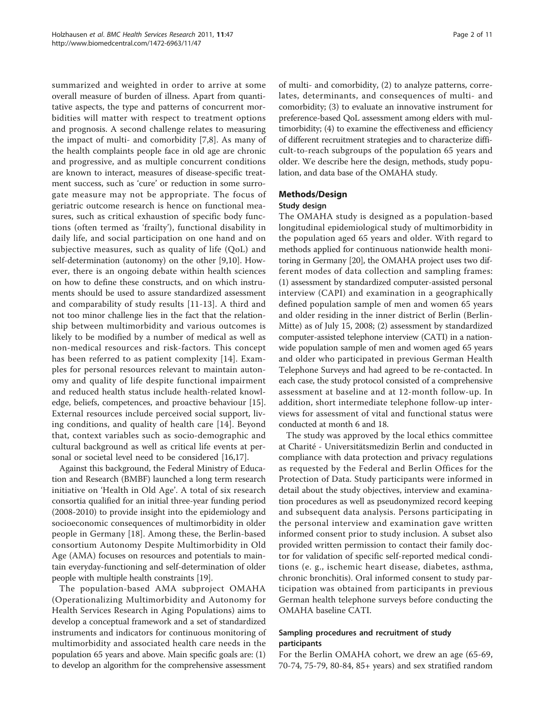summarized and weighted in order to arrive at some overall measure of burden of illness. Apart from quantitative aspects, the type and patterns of concurrent morbidities will matter with respect to treatment options and prognosis. A second challenge relates to measuring the impact of multi- and comorbidity [\[7,8](#page-9-0)]. As many of the health complaints people face in old age are chronic and progressive, and as multiple concurrent conditions are known to interact, measures of disease-specific treatment success, such as 'cure' or reduction in some surrogate measure may not be appropriate. The focus of geriatric outcome research is hence on functional measures, such as critical exhaustion of specific body functions (often termed as 'frailty'), functional disability in daily life, and social participation on one hand and on subjective measures, such as quality of life (QoL) and self-determination (autonomy) on the other [\[9,10](#page-9-0)]. However, there is an ongoing debate within health sciences on how to define these constructs, and on which instruments should be used to assure standardized assessment and comparability of study results [[11](#page-9-0)-[13\]](#page-9-0). A third and not too minor challenge lies in the fact that the relationship between multimorbidity and various outcomes is likely to be modified by a number of medical as well as non-medical resources and risk-factors. This concept has been referred to as patient complexity [\[14](#page-9-0)]. Examples for personal resources relevant to maintain autonomy and quality of life despite functional impairment and reduced health status include health-related knowledge, beliefs, competences, and proactive behaviour [\[15](#page-9-0)]. External resources include perceived social support, living conditions, and quality of health care [[14](#page-9-0)]. Beyond that, context variables such as socio-demographic and cultural background as well as critical life events at personal or societal level need to be considered [\[16,17\]](#page-9-0).

Against this background, the Federal Ministry of Education and Research (BMBF) launched a long term research initiative on 'Health in Old Age'. A total of six research consortia qualified for an initial three-year funding period (2008-2010) to provide insight into the epidemiology and socioeconomic consequences of multimorbidity in older people in Germany [[18](#page-9-0)]. Among these, the Berlin-based consortium Autonomy Despite Multimorbidity in Old Age (AMA) focuses on resources and potentials to maintain everyday-functioning and self-determination of older people with multiple health constraints [\[19\]](#page-9-0).

The population-based AMA subproject OMAHA (Operationalizing Multimorbidity and Autonomy for Health Services Research in Aging Populations) aims to develop a conceptual framework and a set of standardized instruments and indicators for continuous monitoring of multimorbidity and associated health care needs in the population 65 years and above. Main specific goals are: (1) to develop an algorithm for the comprehensive assessment

of multi- and comorbidity, (2) to analyze patterns, correlates, determinants, and consequences of multi- and comorbidity; (3) to evaluate an innovative instrument for preference-based QoL assessment among elders with multimorbidity; (4) to examine the effectiveness and efficiency of different recruitment strategies and to characterize difficult-to-reach subgroups of the population 65 years and older. We describe here the design, methods, study population, and data base of the OMAHA study.

# Methods/Design

# Study design

The OMAHA study is designed as a population-based longitudinal epidemiological study of multimorbidity in the population aged 65 years and older. With regard to methods applied for continuous nationwide health monitoring in Germany [\[20](#page-9-0)], the OMAHA project uses two different modes of data collection and sampling frames: (1) assessment by standardized computer-assisted personal interview (CAPI) and examination in a geographically defined population sample of men and women 65 years and older residing in the inner district of Berlin (Berlin-Mitte) as of July 15, 2008; (2) assessment by standardized computer-assisted telephone interview (CATI) in a nationwide population sample of men and women aged 65 years and older who participated in previous German Health Telephone Surveys and had agreed to be re-contacted. In each case, the study protocol consisted of a comprehensive assessment at baseline and at 12-month follow-up. In addition, short intermediate telephone follow-up interviews for assessment of vital and functional status were conducted at month 6 and 18.

The study was approved by the local ethics committee at Charité - Universitätsmedizin Berlin and conducted in compliance with data protection and privacy regulations as requested by the Federal and Berlin Offices for the Protection of Data. Study participants were informed in detail about the study objectives, interview and examination procedures as well as pseudonymized record keeping and subsequent data analysis. Persons participating in the personal interview and examination gave written informed consent prior to study inclusion. A subset also provided written permission to contact their family doctor for validation of specific self-reported medical conditions (e. g., ischemic heart disease, diabetes, asthma, chronic bronchitis). Oral informed consent to study participation was obtained from participants in previous German health telephone surveys before conducting the OMAHA baseline CATI.

# Sampling procedures and recruitment of study participants

For the Berlin OMAHA cohort, we drew an age (65-69, 70-74, 75-79, 80-84, 85+ years) and sex stratified random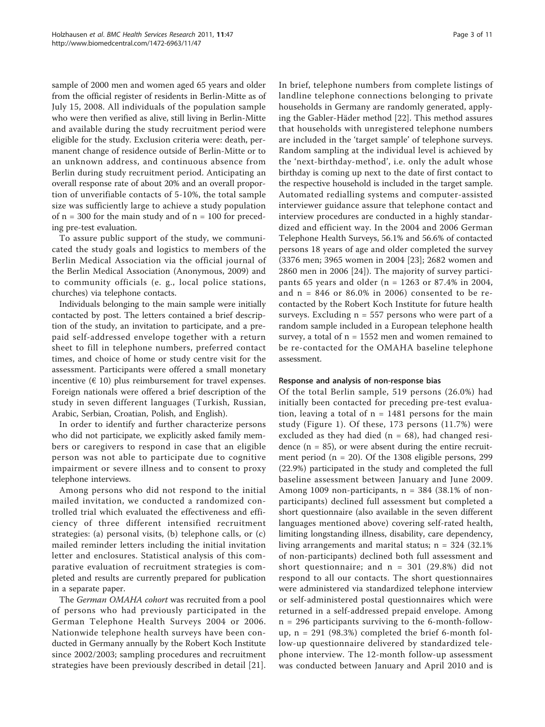sample of 2000 men and women aged 65 years and older from the official register of residents in Berlin-Mitte as of July 15, 2008. All individuals of the population sample who were then verified as alive, still living in Berlin-Mitte and available during the study recruitment period were eligible for the study. Exclusion criteria were: death, permanent change of residence outside of Berlin-Mitte or to an unknown address, and continuous absence from Berlin during study recruitment period. Anticipating an overall response rate of about 20% and an overall proportion of unverifiable contacts of 5-10%, the total sample size was sufficiently large to achieve a study population of  $n = 300$  for the main study and of  $n = 100$  for preceding pre-test evaluation.

To assure public support of the study, we communicated the study goals and logistics to members of the Berlin Medical Association via the official journal of the Berlin Medical Association (Anonymous, 2009) and to community officials (e. g., local police stations, churches) via telephone contacts.

Individuals belonging to the main sample were initially contacted by post. The letters contained a brief description of the study, an invitation to participate, and a prepaid self-addressed envelope together with a return sheet to fill in telephone numbers, preferred contact times, and choice of home or study centre visit for the assessment. Participants were offered a small monetary incentive  $(6\ 10)$  plus reimbursement for travel expenses. Foreign nationals were offered a brief description of the study in seven different languages (Turkish, Russian, Arabic, Serbian, Croatian, Polish, and English).

In order to identify and further characterize persons who did not participate, we explicitly asked family members or caregivers to respond in case that an eligible person was not able to participate due to cognitive impairment or severe illness and to consent to proxy telephone interviews.

Among persons who did not respond to the initial mailed invitation, we conducted a randomized controlled trial which evaluated the effectiveness and efficiency of three different intensified recruitment strategies: (a) personal visits, (b) telephone calls, or (c) mailed reminder letters including the initial invitation letter and enclosures. Statistical analysis of this comparative evaluation of recruitment strategies is completed and results are currently prepared for publication in a separate paper.

The German OMAHA cohort was recruited from a pool of persons who had previously participated in the German Telephone Health Surveys 2004 or 2006. Nationwide telephone health surveys have been conducted in Germany annually by the Robert Koch Institute since 2002/2003; sampling procedures and recruitment strategies have been previously described in detail [[21](#page-9-0)]. In brief, telephone numbers from complete listings of landline telephone connections belonging to private households in Germany are randomly generated, applying the Gabler-Häder method [[22](#page-9-0)]. This method assures that households with unregistered telephone numbers are included in the 'target sample' of telephone surveys. Random sampling at the individual level is achieved by the 'next-birthday-method', i.e. only the adult whose birthday is coming up next to the date of first contact to the respective household is included in the target sample. Automated redialling systems and computer-assisted interviewer guidance assure that telephone contact and interview procedures are conducted in a highly standardized and efficient way. In the 2004 and 2006 German Telephone Health Surveys, 56.1% and 56.6% of contacted persons 18 years of age and older completed the survey (3376 men; 3965 women in 2004 [\[23](#page-9-0)]; 2682 women and 2860 men in 2006 [[24](#page-9-0)]). The majority of survey participants 65 years and older (n = 1263 or 87.4% in 2004, and  $n = 846$  or  $86.0\%$  in 2006) consented to be recontacted by the Robert Koch Institute for future health surveys. Excluding  $n = 557$  persons who were part of a random sample included in a European telephone health survey, a total of  $n = 1552$  men and women remained to be re-contacted for the OMAHA baseline telephone assessment.

# Response and analysis of non-response bias

Of the total Berlin sample, 519 persons (26.0%) had initially been contacted for preceding pre-test evaluation, leaving a total of  $n = 1481$  persons for the main study (Figure [1](#page-3-0)). Of these, 173 persons (11.7%) were excluded as they had died ( $n = 68$ ), had changed residence  $(n = 85)$ , or were absent during the entire recruitment period (n = 20). Of the 1308 eligible persons, 299 (22.9%) participated in the study and completed the full baseline assessment between January and June 2009. Among 1009 non-participants,  $n = 384$  (38.1% of nonparticipants) declined full assessment but completed a short questionnaire (also available in the seven different languages mentioned above) covering self-rated health, limiting longstanding illness, disability, care dependency, living arrangements and marital status;  $n = 324$  (32.1%) of non-participants) declined both full assessment and short questionnaire; and  $n = 301$  (29.8%) did not respond to all our contacts. The short questionnaires were administered via standardized telephone interview or self-administered postal questionnaires which were returned in a self-addressed prepaid envelope. Among n = 296 participants surviving to the 6-month-followup, n = 291 (98.3%) completed the brief 6-month follow-up questionnaire delivered by standardized telephone interview. The 12-month follow-up assessment was conducted between January and April 2010 and is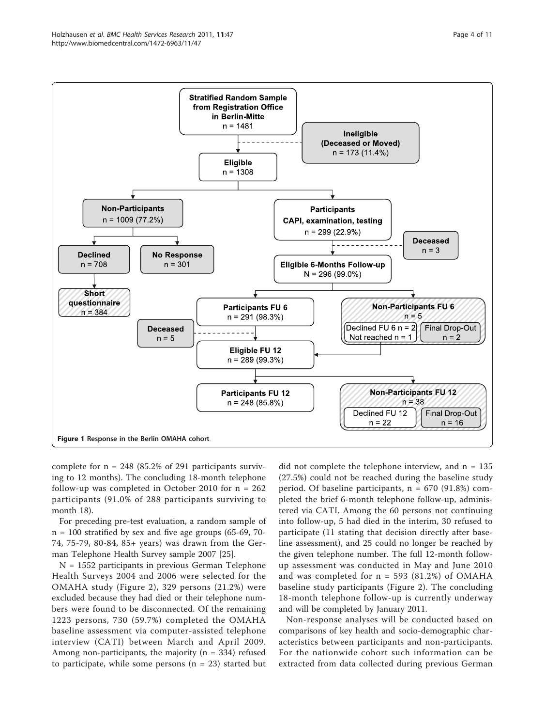<span id="page-3-0"></span>

complete for  $n = 248$  (85.2% of 291 participants surviving to 12 months). The concluding 18-month telephone follow-up was completed in October 2010 for n = 262 participants (91.0% of 288 participants surviving to month 18).

For preceding pre-test evaluation, a random sample of  $n = 100$  stratified by sex and five age groups (65-69, 70-74, 75-79, 80-84, 85+ years) was drawn from the German Telephone Health Survey sample 2007 [[25](#page-9-0)].

N = 1552 participants in previous German Telephone Health Surveys 2004 and 2006 were selected for the OMAHA study (Figure [2\)](#page-4-0), 329 persons (21.2%) were excluded because they had died or their telephone numbers were found to be disconnected. Of the remaining 1223 persons, 730 (59.7%) completed the OMAHA baseline assessment via computer-assisted telephone interview (CATI) between March and April 2009. Among non-participants, the majority ( $n = 334$ ) refused to participate, while some persons  $(n = 23)$  started but

did not complete the telephone interview, and  $n = 135$ (27.5%) could not be reached during the baseline study period. Of baseline participants,  $n = 670$  (91.8%) completed the brief 6-month telephone follow-up, administered via CATI. Among the 60 persons not continuing into follow-up, 5 had died in the interim, 30 refused to participate (11 stating that decision directly after baseline assessment), and 25 could no longer be reached by the given telephone number. The full 12-month followup assessment was conducted in May and June 2010 and was completed for  $n = 593$  (81.2%) of OMAHA baseline study participants (Figure [2](#page-4-0)). The concluding 18-month telephone follow-up is currently underway and will be completed by January 2011.

Non-response analyses will be conducted based on comparisons of key health and socio-demographic characteristics between participants and non-participants. For the nationwide cohort such information can be extracted from data collected during previous German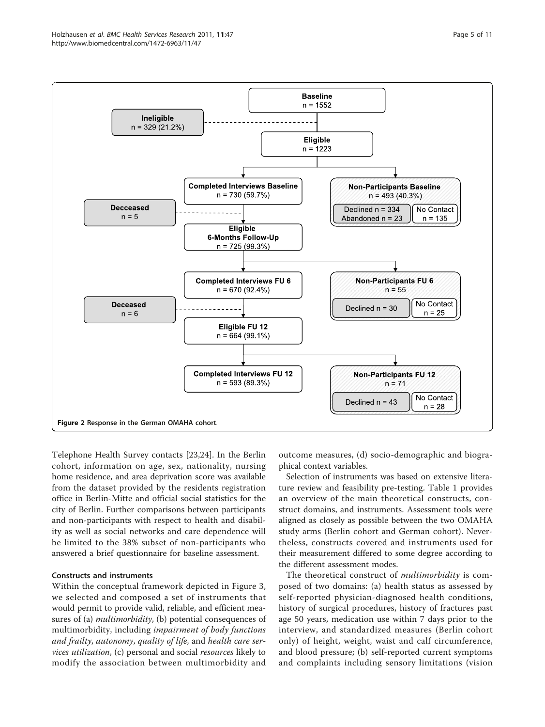

<span id="page-4-0"></span>

Telephone Health Survey contacts [[23](#page-9-0),[24\]](#page-9-0). In the Berlin cohort, information on age, sex, nationality, nursing home residence, and area deprivation score was available from the dataset provided by the residents registration office in Berlin-Mitte and official social statistics for the city of Berlin. Further comparisons between participants and non-participants with respect to health and disability as well as social networks and care dependence will be limited to the 38% subset of non-participants who answered a brief questionnaire for baseline assessment.

## Constructs and instruments

Within the conceptual framework depicted in Figure [3](#page-5-0), we selected and composed a set of instruments that would permit to provide valid, reliable, and efficient measures of (a) *multimorbidity*, (b) potential consequences of multimorbidity, including impairment of body functions and frailty, autonomy, quality of life, and health care services utilization, (c) personal and social resources likely to modify the association between multimorbidity and

outcome measures, (d) socio-demographic and biographical context variables.

Selection of instruments was based on extensive literature review and feasibility pre-testing. Table [1](#page-6-0) provides an overview of the main theoretical constructs, construct domains, and instruments. Assessment tools were aligned as closely as possible between the two OMAHA study arms (Berlin cohort and German cohort). Nevertheless, constructs covered and instruments used for their measurement differed to some degree according to the different assessment modes.

The theoretical construct of *multimorbidity* is composed of two domains: (a) health status as assessed by self-reported physician-diagnosed health conditions, history of surgical procedures, history of fractures past age 50 years, medication use within 7 days prior to the interview, and standardized measures (Berlin cohort only) of height, weight, waist and calf circumference, and blood pressure; (b) self-reported current symptoms and complaints including sensory limitations (vision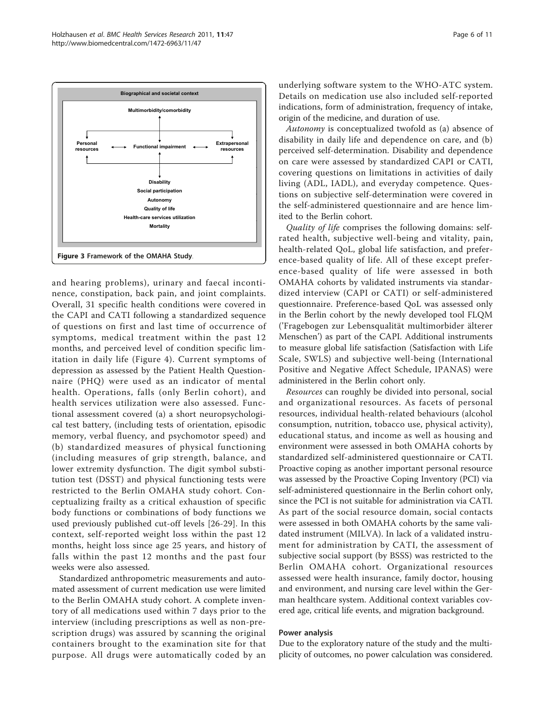<span id="page-5-0"></span>

Figure 3 Framework of the OMAHA Study.

and hearing problems), urinary and faecal incontinence, constipation, back pain, and joint complaints. Overall, 31 specific health conditions were covered in the CAPI and CATI following a standardized sequence of questions on first and last time of occurrence of symptoms, medical treatment within the past 12 months, and perceived level of condition specific limitation in daily life (Figure [4](#page-8-0)). Current symptoms of depression as assessed by the Patient Health Questionnaire (PHQ) were used as an indicator of mental health. Operations, falls (only Berlin cohort), and health services utilization were also assessed. Functional assessment covered (a) a short neuropsychological test battery, (including tests of orientation, episodic memory, verbal fluency, and psychomotor speed) and (b) standardized measures of physical functioning (including measures of grip strength, balance, and lower extremity dysfunction. The digit symbol substitution test (DSST) and physical functioning tests were restricted to the Berlin OMAHA study cohort. Conceptualizing frailty as a critical exhaustion of specific body functions or combinations of body functions we used previously published cut-off levels [\[26-29](#page-9-0)]. In this context, self-reported weight loss within the past 12 months, height loss since age 25 years, and history of falls within the past 12 months and the past four weeks were also assessed.

Standardized anthropometric measurements and automated assessment of current medication use were limited to the Berlin OMAHA study cohort. A complete inventory of all medications used within 7 days prior to the interview (including prescriptions as well as non-prescription drugs) was assured by scanning the original containers brought to the examination site for that purpose. All drugs were automatically coded by an underlying software system to the WHO-ATC system. Details on medication use also included self-reported indications, form of administration, frequency of intake, origin of the medicine, and duration of use.

Autonomy is conceptualized twofold as (a) absence of disability in daily life and dependence on care, and (b) perceived self-determination. Disability and dependence on care were assessed by standardized CAPI or CATI, covering questions on limitations in activities of daily living (ADL, IADL), and everyday competence. Questions on subjective self-determination were covered in the self-administered questionnaire and are hence limited to the Berlin cohort.

Quality of life comprises the following domains: selfrated health, subjective well-being and vitality, pain, health-related QoL, global life satisfaction, and preference-based quality of life. All of these except preference-based quality of life were assessed in both OMAHA cohorts by validated instruments via standardized interview (CAPI or CATI) or self-administered questionnaire. Preference-based QoL was assessed only in the Berlin cohort by the newly developed tool FLQM ('Fragebogen zur Lebensqualität multimorbider älterer Menschen') as part of the CAPI. Additional instruments to measure global life satisfaction (Satisfaction with Life Scale, SWLS) and subjective well-being (International Positive and Negative Affect Schedule, IPANAS) were administered in the Berlin cohort only.

Resources can roughly be divided into personal, social and organizational resources. As facets of personal resources, individual health-related behaviours (alcohol consumption, nutrition, tobacco use, physical activity), educational status, and income as well as housing and environment were assessed in both OMAHA cohorts by standardized self-administered questionnaire or CATI. Proactive coping as another important personal resource was assessed by the Proactive Coping Inventory (PCI) via self-administered questionnaire in the Berlin cohort only, since the PCI is not suitable for administration via CATI. As part of the social resource domain, social contacts were assessed in both OMAHA cohorts by the same validated instrument (MILVA). In lack of a validated instrument for administration by CATI, the assessment of subjective social support (by BSSS) was restricted to the Berlin OMAHA cohort. Organizational resources assessed were health insurance, family doctor, housing and environment, and nursing care level within the German healthcare system. Additional context variables covered age, critical life events, and migration background.

#### Power analysis

Due to the exploratory nature of the study and the multiplicity of outcomes, no power calculation was considered.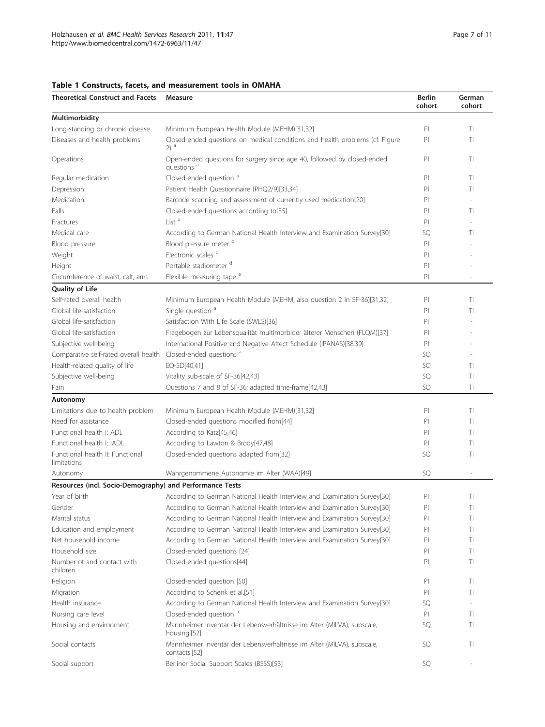# <span id="page-6-0"></span>Table 1 Constructs, facets, and measurement tools in OMAHA

| <b>Theoretical Construct and Facets</b>                  | <b>Measure</b>                                                                                     | Berlin<br>cohort | German<br>cohort |
|----------------------------------------------------------|----------------------------------------------------------------------------------------------------|------------------|------------------|
| Multimorbidity                                           |                                                                                                    |                  |                  |
| Long-standing or chronic disease                         | Minimum European Health Module (MEHM)[31,32]                                                       | P                | TI.              |
| Diseases and health problems                             | Closed-ended questions on medical conditions and health problems (cf. Figure<br>$(2)$ <sup>a</sup> |                  | T1               |
| Operations                                               | Open-ended questions for surgery since age 40, followed by closed-ended<br>questions <sup>a</sup>  |                  | TI.              |
| Regular medication                                       | Closed-ended question <sup>a</sup>                                                                 | P                | T1               |
| Depression                                               | Patient Health Questionnaire (PHQ2/9)[33,34]                                                       | P                | TI.              |
| Medication                                               | Barcode scanning and assessment of currently used medication[20]                                   | P                |                  |
| Falls                                                    | Closed-ended questions according to[35]                                                            | P                | TI.              |
| Fractures                                                | List <sup>a</sup>                                                                                  | P                |                  |
| Medical care                                             | According to German National Health Interview and Examination Survey[30]                           | SQ               | TI.              |
| Blood pressure                                           | Blood pressure meter b                                                                             | P                |                  |
| Weight                                                   | Electronic scales <sup>c</sup>                                                                     | P                |                  |
| Height                                                   | Portable stadiometer <sup>d</sup>                                                                  | P                |                  |
| Circumference of waist, calf, arm                        | Flexible measuring tape <sup>e</sup>                                                               | P                |                  |
| Quality of Life                                          |                                                                                                    |                  |                  |
| Self-rated overall health                                | Minimum European Health Module (MEHM; also question 2 in SF-36)[31,32]                             | P                | TI.              |
| Global life-satisfaction                                 | Single question <sup>a</sup>                                                                       | P                | TI               |
| Global life-satisfaction                                 | Satisfaction With Life Scale (SWLS)[36]                                                            | P                |                  |
| Global life-satisfaction                                 | Fragebogen zur Lebensqualität multimorbider älterer Menschen (FLQM)[37]                            | P                |                  |
| Subjective well-being                                    | International Positive and Negative Affect Schedule (IPANAS)[38,39]                                | PI               |                  |
| Comparative self-rated overall health                    | Closed-ended questions <sup>a</sup>                                                                | SQ               |                  |
| Health-related quality of life                           | EQ-5D[40,41]                                                                                       | SQ               | TI.              |
| Subjective well-being                                    | Vitality sub-scale of SF-36[42,43]                                                                 | SQ               | T1               |
| Pain                                                     | Questions 7 and 8 of SF-36; adapted time-frame[42,43]                                              | SQ               | TI.              |
| Autonomy                                                 |                                                                                                    |                  |                  |
| Limitations due to health problem                        | Minimum European Health Module (MEHM)[31,32]                                                       | PI               | TI.              |
| Need for assistance                                      | Closed-ended questions modified from[44]                                                           | P                | T1               |
| Functional health I: ADL                                 | According to Katz[45,46]                                                                           | P                | TI.              |
| Functional health I: IADL                                | According to Lawton & Brody[47,48]                                                                 | PI               | $\mathbb{E}$     |
| Functional health II: Functional<br>limitations          | Closed-ended questions adapted from[32]                                                            | SQ               | TI.              |
| Autonomy                                                 | Wahrgenommene Autonomie im Alter (WAA)[49]                                                         | SQ               |                  |
| Resources (incl. Socio-Demography) and Performance Tests |                                                                                                    |                  |                  |
| Year of birth                                            | According to German National Health Interview and Examination Survey[30]                           | PI               | TI.              |
| Gender                                                   | According to German National Health Interview and Examination Survey[30]                           | PI               | TI               |
| Marital status                                           | According to German National Health Interview and Examination Survey[30]                           | PI               | TI               |
| Education and employment                                 | According to German National Health Interview and Examination Survey[30]                           | PI               | TL               |
| Net household income                                     | According to German National Health Interview and Examination Survey[30]                           | PI               | TI.              |
| Household size                                           | Closed-ended questions [24]                                                                        | P                | TI.              |
| Number of and contact with<br>children                   | Closed-ended questions[44]                                                                         | P                | TL               |
| Religion                                                 | Closed-ended question [50]                                                                         | PI               | TI.              |
| Migration                                                | According to Schenk et al.[51]                                                                     | P                | TI.              |
| Health insurance                                         | According to German National Health Interview and Examination Survey[30]                           | SQ               |                  |
| Nursing care level                                       | Closed-ended question <sup>a</sup>                                                                 | PI               | TI.              |
| Housing and environment                                  | Mannheimer Inventar der Lebensverhältnisse im Alter (MILVA), subscale,<br>housing'[52]             | SQ               | TI.              |
| Social contacts                                          | Mannheimer Inventar der Lebensverhältnisse im Alter (MILVA), subscale,<br>contacts'[52]            | SQ               | TI.              |
| Social support                                           | Berliner Social Support Scales (BSSS)[53]                                                          | SQ               |                  |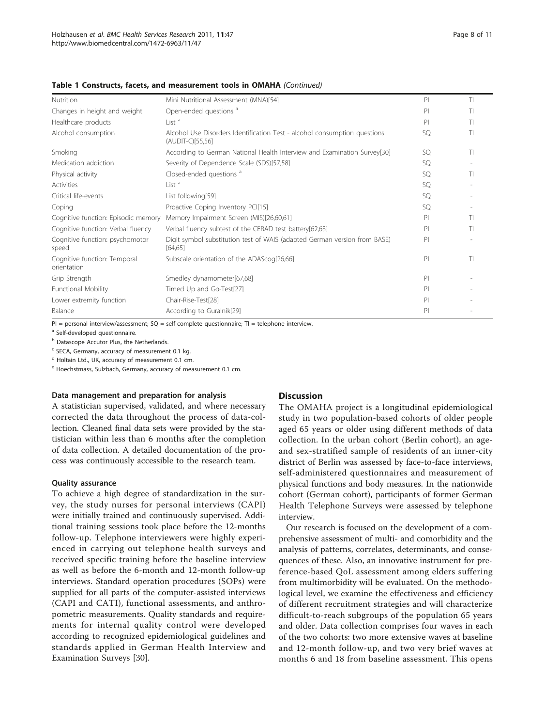| Page 8 of 11 |  |  |
|--------------|--|--|
|              |  |  |

| Nutrition                                   | Mini Nutritional Assessment (MNA)[54]                                                         | P         | TI |
|---------------------------------------------|-----------------------------------------------------------------------------------------------|-----------|----|
| Changes in height and weight                | Open-ended questions <sup>a</sup>                                                             | P         | TI |
| Healthcare products                         | List <sup>a</sup>                                                                             | P         | TI |
| Alcohol consumption                         | Alcohol Use Disorders Identification Test - alcohol consumption questions<br>(AUDIT-C)[55,56] | SO.       | TI |
| Smoking                                     | According to German National Health Interview and Examination Survey[30]                      | SQ        | TI |
| Medication addiction                        | Severity of Dependence Scale (SDS)[57,58]                                                     | <b>SQ</b> |    |
| Physical activity                           | Closed-ended questions <sup>a</sup>                                                           | SO.       | TI |
| Activities                                  | List <sup>a</sup>                                                                             | SO.       |    |
| Critical life-events                        | List following[59]                                                                            | SO.       |    |
| Coping                                      | Proactive Coping Inventory PCI[15]                                                            | <b>SQ</b> |    |
| Cognitive function: Episodic memory         | Memory Impairment Screen (MIS)[26,60,61]                                                      | P         | TI |
| Cognitive function: Verbal fluency          | Verbal fluency subtest of the CERAD test battery[62,63]                                       | P         | TI |
| Cognitive function: psychomotor<br>speed    | Digit symbol substitution test of WAIS (adapted German version from BASE)<br>[64, 65]         | P         |    |
| Cognitive function: Temporal<br>orientation | Subscale orientation of the ADAScog[26,66]                                                    | P         | TI |
| Grip Strength                               | Smedley dynamometer[67,68]                                                                    | P         |    |
| Functional Mobility                         | Timed Up and Go-Test[27]                                                                      | P         |    |
| Lower extremity function                    | Chair-Rise-Test[28]                                                                           | P         |    |
| Balance                                     | According to Guralnik[29]                                                                     | P         |    |

#### Table 1 Constructs, facets, and measurement tools in OMAHA (Continued)

 $PI =$  personal interview/assessment;  $SQ =$  self-complete questionnaire;  $TI =$  telephone interview.

a Self-developed questionnaire.

**b** Datascope Accutor Plus, the Netherlands.

<sup>c</sup> SECA, Germany, accuracy of measurement 0.1 kg.

<sup>d</sup> Holtain Ltd., UK, accuracy of measurement 0.1 cm.

<sup>e</sup> Hoechstmass, Sulzbach, Germany, accuracy of measurement 0.1 cm.

# Data management and preparation for analysis

A statistician supervised, validated, and where necessary corrected the data throughout the process of data-collection. Cleaned final data sets were provided by the statistician within less than 6 months after the completion of data collection. A detailed documentation of the process was continuously accessible to the research team.

#### Quality assurance

To achieve a high degree of standardization in the survey, the study nurses for personal interviews (CAPI) were initially trained and continuously supervised. Additional training sessions took place before the 12-months follow-up. Telephone interviewers were highly experienced in carrying out telephone health surveys and received specific training before the baseline interview as well as before the 6-month and 12-month follow-up interviews. Standard operation procedures (SOPs) were supplied for all parts of the computer-assisted interviews (CAPI and CATI), functional assessments, and anthropometric measurements. Quality standards and requirements for internal quality control were developed according to recognized epidemiological guidelines and standards applied in German Health Interview and Examination Surveys [[30](#page-9-0)].

# Discussion

The OMAHA project is a longitudinal epidemiological study in two population-based cohorts of older people aged 65 years or older using different methods of data collection. In the urban cohort (Berlin cohort), an ageand sex-stratified sample of residents of an inner-city district of Berlin was assessed by face-to-face interviews, self-administered questionnaires and measurement of physical functions and body measures. In the nationwide cohort (German cohort), participants of former German Health Telephone Surveys were assessed by telephone interview.

Our research is focused on the development of a comprehensive assessment of multi- and comorbidity and the analysis of patterns, correlates, determinants, and consequences of these. Also, an innovative instrument for preference-based QoL assessment among elders suffering from multimorbidity will be evaluated. On the methodological level, we examine the effectiveness and efficiency of different recruitment strategies and will characterize difficult-to-reach subgroups of the population 65 years and older. Data collection comprises four waves in each of the two cohorts: two more extensive waves at baseline and 12-month follow-up, and two very brief waves at months 6 and 18 from baseline assessment. This opens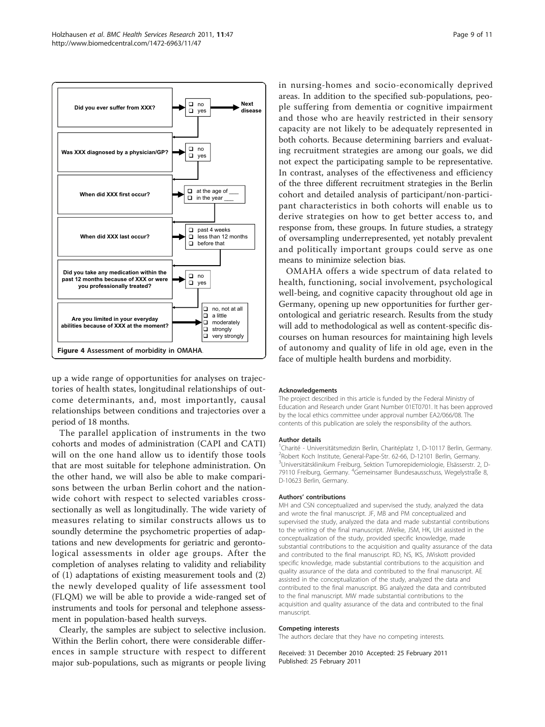<span id="page-8-0"></span>

up a wide range of opportunities for analyses on trajectories of health states, longitudinal relationships of outcome determinants, and, most importantly, causal relationships between conditions and trajectories over a period of 18 months.

The parallel application of instruments in the two cohorts and modes of administration (CAPI and CATI) will on the one hand allow us to identify those tools that are most suitable for telephone administration. On the other hand, we will also be able to make comparisons between the urban Berlin cohort and the nationwide cohort with respect to selected variables crosssectionally as well as longitudinally. The wide variety of measures relating to similar constructs allows us to soundly determine the psychometric properties of adaptations and new developments for geriatric and gerontological assessments in older age groups. After the completion of analyses relating to validity and reliability of (1) adaptations of existing measurement tools and (2) the newly developed quality of life assessment tool (FLQM) we will be able to provide a wide-ranged set of instruments and tools for personal and telephone assessment in population-based health surveys.

Clearly, the samples are subject to selective inclusion. Within the Berlin cohort, there were considerable differences in sample structure with respect to different major sub-populations, such as migrants or people living in nursing-homes and socio-economically deprived areas. In addition to the specified sub-populations, people suffering from dementia or cognitive impairment and those who are heavily restricted in their sensory capacity are not likely to be adequately represented in both cohorts. Because determining barriers and evaluating recruitment strategies are among our goals, we did not expect the participating sample to be representative. In contrast, analyses of the effectiveness and efficiency of the three different recruitment strategies in the Berlin cohort and detailed analysis of participant/non-participant characteristics in both cohorts will enable us to derive strategies on how to get better access to, and response from, these groups. In future studies, a strategy of oversampling underrepresented, yet notably prevalent and politically important groups could serve as one means to minimize selection bias.

OMAHA offers a wide spectrum of data related to health, functioning, social involvement, psychological well-being, and cognitive capacity throughout old age in Germany, opening up new opportunities for further gerontological and geriatric research. Results from the study will add to methodological as well as content-specific discourses on human resources for maintaining high levels of autonomy and quality of life in old age, even in the face of multiple health burdens and morbidity.

#### Acknowledgements

The project described in this article is funded by the Federal Ministry of Education and Research under Grant Number 01ET0701. It has been approved by the local ethics committee under approval number EA2/066/08. The contents of this publication are solely the responsibility of the authors.

#### Author details

<sup>1</sup> Charité - Universitätsmedizin Berlin, Charitéplatz 1, D-10117 Berlin, Germany. <sup>2</sup>Robert Koch Institute, General-Pape-Str. 62-66, D-12101 Berlin, Germany 3 Universitätsklinikum Freiburg, Sektion Tumorepidemiologie, Elsässerstr. 2, D-79110 Freiburg, Germany. <sup>4</sup> Gemeinsamer Bundesausschuss, Wegelystraße 8, D-10623 Berlin, Germany.

#### Authors' contributions

MH and CSN conceptualized and supervised the study, analyzed the data and wrote the final manuscript. JF, MB and PM conceptualized and supervised the study, analyzed the data and made substantial contributions to the writing of the final manuscript. JWelke, JSM, HK, UH assisted in the conceptualization of the study, provided specific knowledge, made substantial contributions to the acquisition and quality assurance of the data and contributed to the final manuscript. RD, NS, IKS, JWiskott provided specific knowledge, made substantial contributions to the acquisition and quality assurance of the data and contributed to the final manuscript. AE assisted in the conceptualization of the study, analyzed the data and contributed to the final manuscript. BG analyzed the data and contributed to the final manuscript. MW made substantial contributions to the acquisition and quality assurance of the data and contributed to the final manuscript.

#### Competing interests

The authors declare that they have no competing interests.

Received: 31 December 2010 Accepted: 25 February 2011 Published: 25 February 2011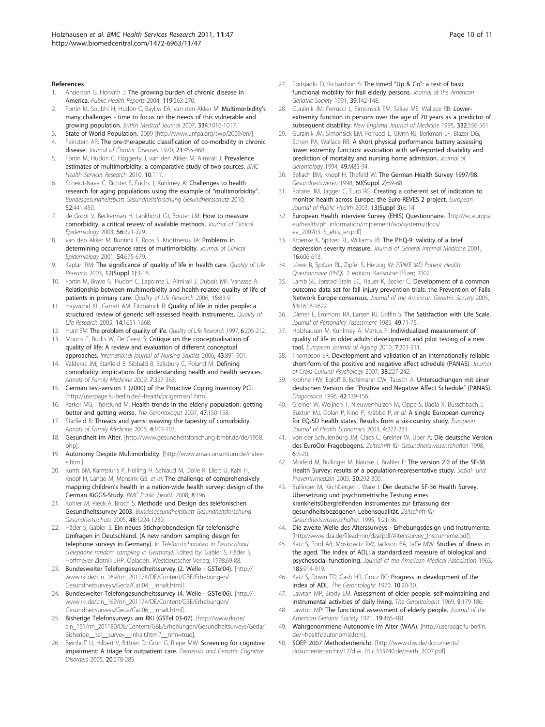- <span id="page-9-0"></span>1. Anderson G, Horvath J: [The growing burden of chronic disease in](http://www.ncbi.nlm.nih.gov/pubmed/15158105?dopt=Abstract) [America.](http://www.ncbi.nlm.nih.gov/pubmed/15158105?dopt=Abstract) Public Health Reports 2004, 119:263-270.
- 2. Fortin M, Soubhi H, Hudon C, Bayliss EA, van den Akker M: [Multimorbidity](http://www.ncbi.nlm.nih.gov/pubmed/17510108?dopt=Abstract)'s [many challenges - time to focus on the needs of this vulnerable and](http://www.ncbi.nlm.nih.gov/pubmed/17510108?dopt=Abstract) [growing population.](http://www.ncbi.nlm.nih.gov/pubmed/17510108?dopt=Abstract) British Medical Journal 2007, 334:1016-1017.
- 3. State of World Population. 2009 [\[http://www.unfpa.org/swp/2009/en/](http://www.unfpa.org/swp/2009/en/)].
- 4. Feinstein AR: The pre-therapeutic classification of co-morbidity in chronic disease. Journal of Chronic Diseases 1970, 23:455-468.
- 5. Fortin M, Hudon C, Haggerty J, van den Akker M, Almirall J: [Prevalence](http://www.ncbi.nlm.nih.gov/pubmed/20459621?dopt=Abstract) [estimates of multimorbidity: a comparative study of two sources.](http://www.ncbi.nlm.nih.gov/pubmed/20459621?dopt=Abstract) BMC Health Services Research 2010, 10:111.
- 6. Scheidt-Nave C, Richter S, Fuchs J, Kuhlmey A: Challenges to health research for aging populations using the example of "multimorbidity". Bundesgesundheitsblatt Gesundheitsforschung Gesundheitsschutz 2010, 52:441-450.
- 7. de Groot V, Beckerman H, Lankhorst GJ, Bouter LM: [How to measure](http://www.ncbi.nlm.nih.gov/pubmed/12725876?dopt=Abstract) [comorbidity. a critical review of available methods.](http://www.ncbi.nlm.nih.gov/pubmed/12725876?dopt=Abstract) Journal of Clinical Epidemiology 2003, 56:221-229.
- 8. van den Akker M, Buntinx F, Roos S, Knottnerus JA: [Problems in](http://www.ncbi.nlm.nih.gov/pubmed/11438407?dopt=Abstract) [determining occurrence rates of multimorbidity.](http://www.ncbi.nlm.nih.gov/pubmed/11438407?dopt=Abstract) Journal of Clinical Epidemiology 2001, 54:675-679.
- 9. Kaplan RM: [The significance of quality of life in health care.](http://www.ncbi.nlm.nih.gov/pubmed/12803306?dopt=Abstract) Quality of Life Research 2003, 12(Suppl 1):3-16.
- 10. Fortin M, Bravo G, Hudon C, Lapointe L, Almirall J, Dubois MF, Vanasse A: [Relationship between multimorbidity and health-related quality of life of](http://www.ncbi.nlm.nih.gov/pubmed/16411033?dopt=Abstract) [patients in primary care.](http://www.ncbi.nlm.nih.gov/pubmed/16411033?dopt=Abstract) Quality of Life Research 2006, 15:83-91.
- 11. Haywood KL, Garratt AM, Fitzpatrick R: [Quality of life in older people: a](http://www.ncbi.nlm.nih.gov/pubmed/16119178?dopt=Abstract) [structured review of generic self-assessed health instruments.](http://www.ncbi.nlm.nih.gov/pubmed/16119178?dopt=Abstract) Quality of Life Research 2005, 14:1651-1668.
- 12. Hunt SM: [The problem of quality of life.](http://www.ncbi.nlm.nih.gov/pubmed/9226977?dopt=Abstract) Quality of Life Research 1997, 6:205-212.
- 13. Moons P, Budts W, De Geest S: [Critique on the conceptualisation of](http://www.ncbi.nlm.nih.gov/pubmed/16696978?dopt=Abstract) [quality of life: A review and evaluation of different conceptual](http://www.ncbi.nlm.nih.gov/pubmed/16696978?dopt=Abstract) [approaches.](http://www.ncbi.nlm.nih.gov/pubmed/16696978?dopt=Abstract) International journal of Nursing Studies 2006, 43:891-901.
- 14. Valderas JM, Starfield B, Sibbald B, Salisbury C, Roland M: [Defining](http://www.ncbi.nlm.nih.gov/pubmed/19597174?dopt=Abstract) [comorbidity: implications for understanding health and health services.](http://www.ncbi.nlm.nih.gov/pubmed/19597174?dopt=Abstract) Annals of Family Medicine 2009, 7:357-363.
- 15. German test-version 1 (2000) of the Proactive Coping Inventory PCI. [\[http://userpage.fu-berlin.de/~health/pcigerman1.htm](http://userpage.fu-berlin.de/~health/pcigerman1.htm)].
- 16. Parker MG, Thorslund M: [Health trends in the elderly population: getting](http://www.ncbi.nlm.nih.gov/pubmed/17440120?dopt=Abstract) [better and getting worse.](http://www.ncbi.nlm.nih.gov/pubmed/17440120?dopt=Abstract) The Gerontologist 2007, 47:150-158.
- Starfield B: [Threads and yarns: weaving the tapestry of comorbidity.](http://www.ncbi.nlm.nih.gov/pubmed/16569711?dopt=Abstract) Annals of Family Medicine 2006, 4:101-103.
- 18. Gesundheit im Alter. [[http://www.gesundheitsforschung-bmbf.de/de/1958.](http://www.gesundheitsforschung-bmbf.de/de/1958.php) [php](http://www.gesundheitsforschung-bmbf.de/de/1958.php)].
- 19. Autonomy Despite Multimorbidity. [[http://www.ama-consortium.de/index](http://www.ama-consortium.de/index-e.html)[e.html](http://www.ama-consortium.de/index-e.html)].
- 20. Kurth BM, Kamtsiuris P, Holling H, Schlaud M, Dolle R, Ellert U, Kahl H, Knopf H, Lange M, Mensink GB, et al: [The challenge of comprehensively](http://www.ncbi.nlm.nih.gov/pubmed/18533019?dopt=Abstract) mapping children'[s health in a nation-wide health survey: design of the](http://www.ncbi.nlm.nih.gov/pubmed/18533019?dopt=Abstract) [German KiGGS-Study.](http://www.ncbi.nlm.nih.gov/pubmed/18533019?dopt=Abstract) BMC Public Health 2008, 8:196.
- 21. Kohler M, Rieck A, Broch S: [Methode und Design des telefonischen](http://www.ncbi.nlm.nih.gov/pubmed/16220261?dopt=Abstract) [Gesundheitssurvey 2003.](http://www.ncbi.nlm.nih.gov/pubmed/16220261?dopt=Abstract) Bundesgesundheitsblatt Gesundheitsforschung Gesundheitsschutz 2005, 48:1224-1230.
- 22. Häder S, Gabler S: Ein neues Stichprobendesign für telefonische Umfragen in Deutschland. (A new random sampling design for telephone surveys in Germany). In Telefonstichproben in Deutschland (Telephone random sampling in Germany). Edited by: Gabler S, Häder S, Hoffmeyer-Zlotnik JHP. Opladen: Westdeutscher Verlag; 1998:69-88.
- 23. Bundesweiter Telefongesundheitssurvey (2. Welle GSTel04). [\[http://](http://www.rki.de/cln_169/nn_201174/DE/Content/GBE/Erhebungen/Gesundheitsurveys/Geda/Cati04__inhalt.html) [www.rki.de/cln\\_169/nn\\_201174/DE/Content/GBE/Erhebungen/](http://www.rki.de/cln_169/nn_201174/DE/Content/GBE/Erhebungen/Gesundheitsurveys/Geda/Cati04__inhalt.html) [Gesundheitsurveys/Geda/Cati04\\_\\_inhalt.html](http://www.rki.de/cln_169/nn_201174/DE/Content/GBE/Erhebungen/Gesundheitsurveys/Geda/Cati04__inhalt.html)].
- 24. Bundesweiter Telefongesundheitssurvey (4. Welle GSTel06). [\[http://](http://www.rki.de/cln_169/nn_201174/DE/Content/GBE/Erhebungen/Gesundheitsurveys/Geda/Cati06__inhalt.html) [www.rki.de/cln\\_169/nn\\_201174/DE/Content/GBE/Erhebungen/](http://www.rki.de/cln_169/nn_201174/DE/Content/GBE/Erhebungen/Gesundheitsurveys/Geda/Cati06__inhalt.html) [Gesundheitsurveys/Geda/Cati06\\_\\_inhalt.html](http://www.rki.de/cln_169/nn_201174/DE/Content/GBE/Erhebungen/Gesundheitsurveys/Geda/Cati06__inhalt.html)].
- 25. Bisherige Telefonsurveys am RKI (GSTel 03-07). [\[http://www.rki.de/](http://www.rki.de/cln_151/nn_201180/DE/Content/GBE/Erhebungen/Gesundheitsurveys/Geda/Bisherige__tel__survey__inhalt.html?__nnn=true) [cln\\_151/nn\\_201180/DE/Content/GBE/Erhebungen/Gesundheitsurveys/Geda/](http://www.rki.de/cln_151/nn_201180/DE/Content/GBE/Erhebungen/Gesundheitsurveys/Geda/Bisherige__tel__survey__inhalt.html?__nnn=true) [Bisherige\\_\\_tel\\_\\_survey\\_\\_inhalt.html?\\_\\_nnn=true](http://www.rki.de/cln_151/nn_201180/DE/Content/GBE/Erhebungen/Gesundheitsurveys/Geda/Bisherige__tel__survey__inhalt.html?__nnn=true)].
- 26. Beinhoff U, Hilbert V, Bittner D, Grön G, Riepe MW: [Screening for cognitive](http://www.ncbi.nlm.nih.gov/pubmed/16158010?dopt=Abstract) [impairment: A triage for outpatient care.](http://www.ncbi.nlm.nih.gov/pubmed/16158010?dopt=Abstract) Dementia and Geriatric Cognitive Disorders 2005, 20:278-285.
- 27. Podsiadlo D, Richardson S: The timed "Up & Go": a test of basic functional mobility for frail elderly persons. Journal of the American Geriatric Society 1991, 39:142-148.
- 28. Guralnik JM, Ferrucci L, Simonsick EM, Salive ME, Wallace RB: [Lower](http://www.ncbi.nlm.nih.gov/pubmed/7838189?dopt=Abstract)[extremity function in persons over the age of 70 years as a predictor of](http://www.ncbi.nlm.nih.gov/pubmed/7838189?dopt=Abstract) [subsequent disability.](http://www.ncbi.nlm.nih.gov/pubmed/7838189?dopt=Abstract) New England Journal of Medicine 1995, 332:556-561.
- 29. Guralnik JM, Simonsick EM, Ferrucci L, Glynn RJ, Berkman LF, Blazer DG, Scherr PA, Wallace RB: [A short physical performance battery assessing](http://www.ncbi.nlm.nih.gov/pubmed/8126356?dopt=Abstract) [lower extremity function: association with self-reported disability and](http://www.ncbi.nlm.nih.gov/pubmed/8126356?dopt=Abstract) [prediction of mortality and nursing home admission.](http://www.ncbi.nlm.nih.gov/pubmed/8126356?dopt=Abstract) Journal of Gerontology 1994, 49:M85-94.
- 30. Bellach BM, Knopf H, Thefeld W: The German Health Survey 1997/98. Gesundheitswesen 1998, 60(Suppl 2):59-68.
- 31. Robine JM, Jagger C, Euro RG: [Creating a coherent set of indicators to](http://www.ncbi.nlm.nih.gov/pubmed/14533742?dopt=Abstract) [monitor health across Europe: the Euro-REVES 2 project.](http://www.ncbi.nlm.nih.gov/pubmed/14533742?dopt=Abstract) European Journal of Public Health 2003, 13(Suppl 3):6-14.
- 32. European Health Interview Survey (EHIS) Questionnaire. [[http://ec.europa.](http://ec.europa.eu/health/ph_information/implement/wp/systems/docs/ev_20070315_ehis_en.pdf) [eu/health/ph\\_information/implement/wp/systems/docs/](http://ec.europa.eu/health/ph_information/implement/wp/systems/docs/ev_20070315_ehis_en.pdf) [ev\\_20070315\\_ehis\\_en.pdf](http://ec.europa.eu/health/ph_information/implement/wp/systems/docs/ev_20070315_ehis_en.pdf)].
- 33. Kroenke K, Spitzer RL, Williams JB: [The PHQ-9: validity of a brief](http://www.ncbi.nlm.nih.gov/pubmed/11556941?dopt=Abstract) [depression severity measure.](http://www.ncbi.nlm.nih.gov/pubmed/11556941?dopt=Abstract) Journal of General Internal Medicine 2001, 16:606-613.
- 34. Löwe B, Spitzer RL, Zipfel S, Herzog W: PRIME MD Patient Health Questionnaire (PHQ). 2 edition. Karlsruhe: Pfizer; 2002.
- 35. Lamb SE, Jorstad-Stein EC, Hauer K, Becker C: Development of a common outcome data set for fall injury prevention trials: the Prevention of Falls Network Europe consensus. Journal of the American Geriatric Society 2005, 53:1618-1622.
- Diener E, Emmons RA, Larsen RJ, Griffin S: [The Satisfaction with Life Scale.](http://www.ncbi.nlm.nih.gov/pubmed/16367493?dopt=Abstract) Journal of Personality Assessment 1985, 49:71-75.
- 37. Holzhausen M, Kuhlmey A, Martus P: Individualized measurement of quality of life in older adults: development and pilot testing of a new tool. European Journal of Ageing 2010, 7:201-211.
- 38. Thompson ER: Development and validation of an internationally reliable short-form of the positive and negative affect schedule (PANAS). Journal of Cross-Cultural Psychology 2007, 38:227-242.
- 39. Krohne HW, Egloff B, Kohlmann CW, Tausch A: Untersuchungen mit einer deutschen Version der "Positive and Negative Affect Schedule" (PANAS). Diagnostica 1996, 42:139-156.
- 40. Greiner W, Weijnen T, Nieuwenhuizen M, Oppe S, Badia X, Busschbach J, Buxton MJ, Dolan P, Kind P, Krabbe P, et al: [A single European currency](http://www.ncbi.nlm.nih.gov/pubmed/15609189?dopt=Abstract) [for EQ-5D health states. Results from a six-country study.](http://www.ncbi.nlm.nih.gov/pubmed/15609189?dopt=Abstract) European Journal of Health Economics 2003, 4:222-231.
- 41. von der Schulenburg JM, Claes C, Greiner W, Uber A: Die deutsche Version des EuroQol-Fragebogens. Zeitschrift für Gesundheitswissenschaften 1998, 6:3-20.
- 42. Morfeld M, Bullinger M, Nantke J, Brahler E: [The version 2.0 of the SF-36](http://www.ncbi.nlm.nih.gov/pubmed/16300173?dopt=Abstract) [Health Survey: results of a population-representative study.](http://www.ncbi.nlm.nih.gov/pubmed/16300173?dopt=Abstract) Sozial- und Praventivmedizin 2005, 50:292-300.
- 43. Bullinger M, Kirchberger I, Ware J: Der deutsche SF-36 Health Survey, Übersetzung und psychometrische Testung eines krankheitsübergreifenden Instrumentes zur Erfassung der gesundheitsbezogenen Lebensqualität. Zeitschrift für Gesundheitswissenschaften 1995, 1:21-36.
- 44. Die zweite Welle des Alterssurveys Erhebungsdesign und Instrumente. [[http://www.dza.de/fileadmin/dza/pdf/Alterssurvey\\_Instrumente.pdf\]](http://www.dza.de/fileadmin/dza/pdf/Alterssurvey_Instrumente.pdf).
- 45. Katz S, Ford AB, Moskowitz RW, Jackson BA, Jaffe MW: [Studies of illness in](http://www.ncbi.nlm.nih.gov/pubmed/14044222?dopt=Abstract) [the aged. The index of ADL: a standardized measure of biological and](http://www.ncbi.nlm.nih.gov/pubmed/14044222?dopt=Abstract) [psychosocial functioning.](http://www.ncbi.nlm.nih.gov/pubmed/14044222?dopt=Abstract) Journal of the American Medical Association 1963, 185:914-919.
- 46. Katz S, Down TD, Cash HR, Grotz RC: [Progress in development of the](http://www.ncbi.nlm.nih.gov/pubmed/5420677?dopt=Abstract) [index of ADL.](http://www.ncbi.nlm.nih.gov/pubmed/5420677?dopt=Abstract) The Gerontologist 1970, 10:20-30.
- 47. Lawton MP, Brody EM: [Assessment of older people: self-maintaining and](http://www.ncbi.nlm.nih.gov/pubmed/5349366?dopt=Abstract) [instrumental activities of daily living.](http://www.ncbi.nlm.nih.gov/pubmed/5349366?dopt=Abstract) The Gerontologist 1969, 9:179-186.
- 48. Lawton MP: The functional assessment of elderly people. Journal of the American Geriatric Society 1971, 19:465-481.
- 49. Wahrgenommene Autonomie im Alter (WAA). [[http://userpage.fu-berlin.](http://userpage.fu-berlin.de/~health/autonomie.htm) [de/~health/autonomie.htm\]](http://userpage.fu-berlin.de/~health/autonomie.htm).
- 50. SOEP 2007 Methodenbericht. [[http://www.diw.de/documents/](http://www.diw.de/documents/dokumentenarchiv/17/diw_01.c.333740.de/meth_2007.pdf) [dokumentenarchiv/17/diw\\_01.c.333740.de/meth\\_2007.pdf](http://www.diw.de/documents/dokumentenarchiv/17/diw_01.c.333740.de/meth_2007.pdf)].